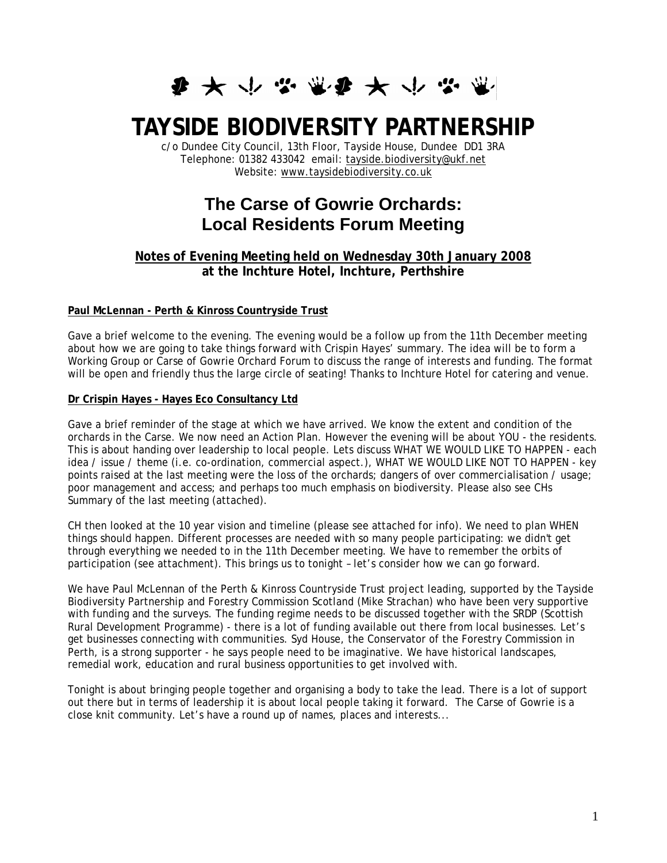**まみやなまなみかなま** 

# **TAYSIDE BIODIVERSITY PARTNERSHIP**

c/o Dundee City Council, 13th Floor, Tayside House, Dundee DD1 3RA Telephone: 01382 433042 email: tayside.biodiversity@ukf.net Website: www.taysidebiodiversity.co.uk

# **The Carse of Gowrie Orchards: Local Residents Forum Meeting**

# **Notes of Evening Meeting held on Wednesday 30th January 2008 at the Inchture Hotel, Inchture, Perthshire**

#### **Paul McLennan - Perth & Kinross Countryside Trust**

Gave a brief welcome to the evening. The evening would be a follow up from the 11th December meeting about how we are going to take things forward with Crispin Hayes' summary. The idea will be to form a Working Group or Carse of Gowrie Orchard Forum to discuss the range of interests and funding. The format will be open and friendly thus the large circle of seating! Thanks to Inchture Hotel for catering and venue.

#### **Dr Crispin Hayes - Hayes Eco Consultancy Ltd**

Gave a brief reminder of the stage at which we have arrived. We know the extent and condition of the orchards in the Carse. We now need an Action Plan. However the evening will be about YOU - the residents. This is about handing over leadership to local people. Lets discuss WHAT WE WOULD LIKE TO HAPPEN - each idea / issue / theme (i.e. co-ordination, commercial aspect.), WHAT WE WOULD LIKE NOT TO HAPPEN - key points raised at the last meeting were the loss of the orchards; dangers of over commercialisation / usage; poor management and access; and perhaps too much emphasis on biodiversity. Please also see CHs Summary of the last meeting (attached).

CH then looked at the 10 year vision and timeline (please see attached for info). We need to plan WHEN things should happen. Different processes are needed with so many people participating: we didn't get through everything we needed to in the 11th December meeting. We have to remember the orbits of participation (see attachment). This brings us to tonight – let's consider how we can go forward.

We have Paul McLennan of the Perth & Kinross Countryside Trust project leading, supported by the Tayside Biodiversity Partnership and Forestry Commission Scotland (Mike Strachan) who have been very supportive with funding and the surveys. The funding regime needs to be discussed together with the SRDP (Scottish Rural Development Programme) - there is a lot of funding available out there from local businesses. Let's get businesses connecting with communities. Syd House, the Conservator of the Forestry Commission in Perth, is a strong supporter - he says people need to be imaginative. We have historical landscapes, remedial work, education and rural business opportunities to get involved with.

Tonight is about bringing people together and organising a body to take the lead. There is a lot of support out there but in terms of leadership it is about local people taking it forward. The Carse of Gowrie is a close knit community. Let's have a round up of names, places and interests...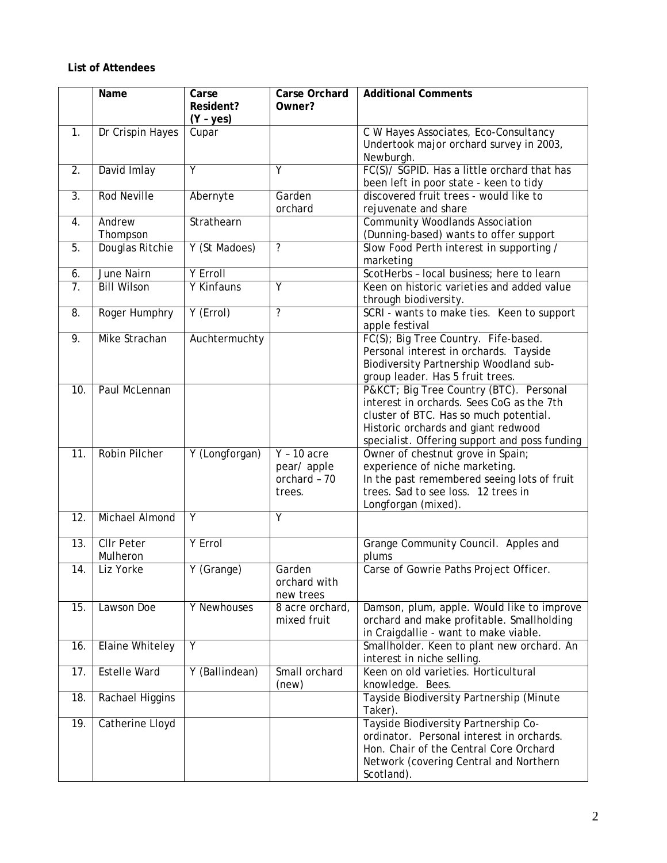## **List of Attendees**

|                  | Name                          | Carse<br>Resident?<br>$(Y - yes)$ | <b>Carse Orchard</b><br>Owner?                        | <b>Additional Comments</b>                                                                                                                                                                                            |
|------------------|-------------------------------|-----------------------------------|-------------------------------------------------------|-----------------------------------------------------------------------------------------------------------------------------------------------------------------------------------------------------------------------|
| 1.               | Dr Crispin Hayes              | Cupar                             |                                                       | C W Hayes Associates, Eco-Consultancy<br>Undertook major orchard survey in 2003,<br>Newburgh.                                                                                                                         |
| 2.               | David Imlay                   | Ÿ                                 | Ÿ                                                     | FC(S)/ SGPID. Has a little orchard that has<br>been left in poor state - keen to tidy                                                                                                                                 |
| 3.               | <b>Rod Neville</b>            | Abernyte                          | Garden<br>orchard                                     | discovered fruit trees - would like to<br>rejuvenate and share                                                                                                                                                        |
| 4.               | Andrew<br>Thompson            | Strathearn                        |                                                       | <b>Community Woodlands Association</b><br>(Dunning-based) wants to offer support                                                                                                                                      |
| 5.               | Douglas Ritchie               | Y (St Madoes)                     | $\overline{\mathcal{E}}$                              | Slow Food Perth interest in supporting /<br>marketing                                                                                                                                                                 |
| 6.               | <b>June Nairn</b>             | Y Erroll                          |                                                       | ScotHerbs - local business; here to learn                                                                                                                                                                             |
| $\overline{7}$ . | <b>Bill Wilson</b>            | Y Kinfauns                        | Υ                                                     | Keen on historic varieties and added value<br>through biodiversity.                                                                                                                                                   |
| 8.               | Roger Humphry                 | Y (Errol)                         | ?                                                     | SCRI - wants to make ties. Keen to support<br>apple festival                                                                                                                                                          |
| 9.               | Mike Strachan                 | Auchtermuchty                     |                                                       | FC(S); Big Tree Country. Fife-based.<br>Personal interest in orchards. Tayside<br>Biodiversity Partnership Woodland sub-<br>group leader. Has 5 fruit trees.                                                          |
| 10.              | Paul McLennan                 |                                   |                                                       | P&KCT Big Tree Country (BTC). Personal<br>interest in orchards. Sees CoG as the 7th<br>cluster of BTC. Has so much potential.<br>Historic orchards and giant redwood<br>specialist. Offering support and poss funding |
| 11.              | <b>Robin Pilcher</b>          | Y (Longforgan)                    | $Y - 10$ acre<br>pear/apple<br>orchard - 70<br>trees. | Owner of chestnut grove in Spain;<br>experience of niche marketing.<br>In the past remembered seeing lots of fruit<br>trees. Sad to see loss. 12 trees in<br>Longforgan (mixed).                                      |
| 12.              | Michael Almond                | Y                                 | Y                                                     |                                                                                                                                                                                                                       |
| 13.              | <b>CIIr Peter</b><br>Mulheron | <b>Y</b> Errol                    |                                                       | Grange Community Council. Apples and<br>plums                                                                                                                                                                         |
| 14.              | Liz Yorke                     | Y (Grange)                        | Garden<br>orchard with<br>new trees                   | Carse of Gowrie Paths Project Officer.                                                                                                                                                                                |
| 15.              | Lawson Doe                    | Y Newhouses                       | 8 acre orchard,<br>mixed fruit                        | Damson, plum, apple. Would like to improve<br>orchard and make profitable. Smallholding<br>in Craigdallie - want to make viable.                                                                                      |
| 16.              | <b>Elaine Whiteley</b>        | Y                                 |                                                       | Smallholder. Keen to plant new orchard. An<br>interest in niche selling.                                                                                                                                              |
| 17.              | <b>Estelle Ward</b>           | Y (Ballindean)                    | Small orchard<br>(new)                                | Keen on old varieties. Horticultural<br>knowledge. Bees.                                                                                                                                                              |
| 18.              | Rachael Higgins               |                                   |                                                       | Tayside Biodiversity Partnership (Minute<br>Taker).                                                                                                                                                                   |
| 19.              | Catherine Lloyd               |                                   |                                                       | Tayside Biodiversity Partnership Co-<br>ordinator. Personal interest in orchards.<br>Hon. Chair of the Central Core Orchard<br>Network (covering Central and Northern<br>Scotland).                                   |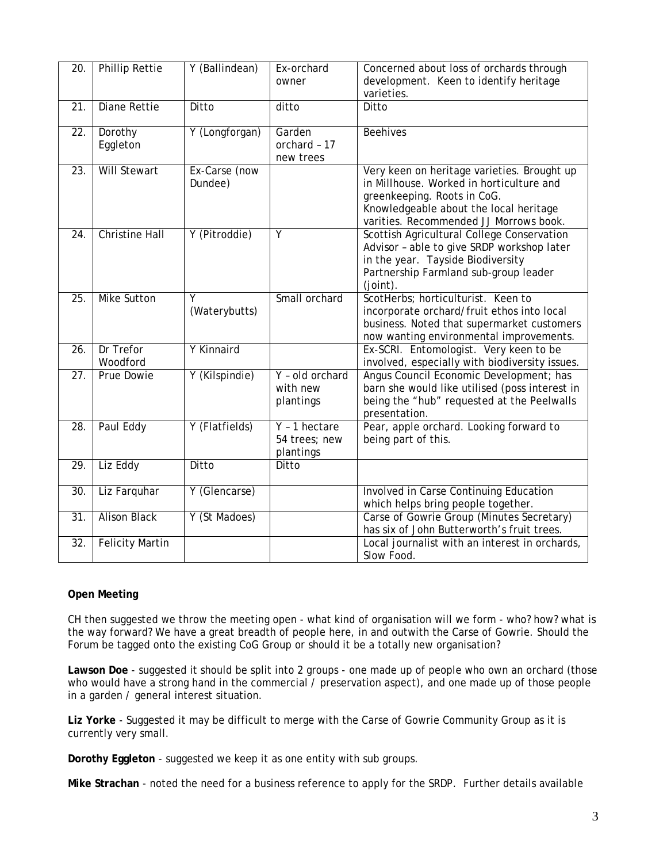| 20.               | <b>Phillip Rettie</b>  | Y (Ballindean) | Ex-orchard                  | Concerned about loss of orchards through                                                     |
|-------------------|------------------------|----------------|-----------------------------|----------------------------------------------------------------------------------------------|
|                   |                        |                | owner                       | development. Keen to identify heritage<br>varieties.                                         |
| $\overline{21}$ . | <b>Diane Rettie</b>    | Ditto          | ditto                       | Ditto                                                                                        |
|                   |                        |                |                             |                                                                                              |
| 22.               | Dorothy<br>Eggleton    | Y (Longforgan) | Garden<br>orchard - 17      | <b>Beehives</b>                                                                              |
|                   |                        |                | new trees                   |                                                                                              |
| $\overline{23}$ . | <b>Will Stewart</b>    | Ex-Carse (now  |                             | Very keen on heritage varieties. Brought up                                                  |
|                   |                        | Dundee)        |                             | in Millhouse. Worked in horticulture and<br>greenkeeping. Roots in CoG.                      |
|                   |                        |                |                             | Knowledgeable about the local heritage                                                       |
|                   |                        |                |                             | varities. Recommended JJ Morrows book.                                                       |
| 24.               | <b>Christine Hall</b>  | Y (Pitroddie)  | Ÿ                           | Scottish Agricultural College Conservation                                                   |
|                   |                        |                |                             | Advisor - able to give SRDP workshop later<br>in the year. Tayside Biodiversity              |
|                   |                        |                |                             | Partnership Farmland sub-group leader                                                        |
|                   |                        |                |                             | $(joint)$ .                                                                                  |
| $\overline{25}$ . | <b>Mike Sutton</b>     | γ              | Small orchard               | ScotHerbs; horticulturist. Keen to                                                           |
|                   |                        | (Waterybutts)  |                             | incorporate orchard/fruit ethos into local<br>business. Noted that supermarket customers     |
|                   |                        |                |                             | now wanting environmental improvements.                                                      |
| 26.               | Dr Trefor              | Y Kinnaird     |                             | Ex-SCRI. Entomologist. Very keen to be                                                       |
|                   | Woodford               |                |                             | involved, especially with biodiversity issues.                                               |
| 27.               | Prue Dowie             | Y (Kilspindie) | Y - old orchard<br>with new | Angus Council Economic Development; has                                                      |
|                   |                        |                | plantings                   | barn she would like utilised (poss interest in<br>being the "hub" requested at the Peelwalls |
|                   |                        |                |                             | presentation.                                                                                |
| 28.               | Paul Eddy              | Y (Flatfields) | $Y - 1$ hectare             | Pear, apple orchard. Looking forward to                                                      |
|                   |                        |                | 54 trees; new               | being part of this.                                                                          |
| 29.               | Liz Eddy               | Ditto          | plantings<br>Ditto          |                                                                                              |
|                   |                        |                |                             |                                                                                              |
| 30.               | Liz Farquhar           | Y (Glencarse)  |                             | Involved in Carse Continuing Education                                                       |
|                   |                        |                |                             | which helps bring people together.                                                           |
| 31.               | <b>Alison Black</b>    | Y (St Madoes)  |                             | Carse of Gowrie Group (Minutes Secretary)<br>has six of John Butterworth's fruit trees.      |
| 32.               | <b>Felicity Martin</b> |                |                             | Local journalist with an interest in orchards,                                               |
|                   |                        |                |                             | Slow Food.                                                                                   |

### **Open Meeting**

CH then suggested we throw the meeting open - what kind of organisation will we form - who? how? what is the way forward? We have a great breadth of people here, in and outwith the Carse of Gowrie. Should the Forum be tagged onto the existing CoG Group or should it be a totally new organisation?

**Lawson Doe** - suggested it should be split into 2 groups - one made up of people who own an orchard (those who would have a strong hand in the commercial / preservation aspect), and one made up of those people in a garden / general interest situation.

**Liz Yorke** - Suggested it may be difficult to merge with the Carse of Gowrie Community Group as it is currently very small.

**Dorothy Eggleton** - suggested we keep it as one entity with sub groups.

**Mike Strachan** - noted the need for a business reference to apply for the SRDP. Further details available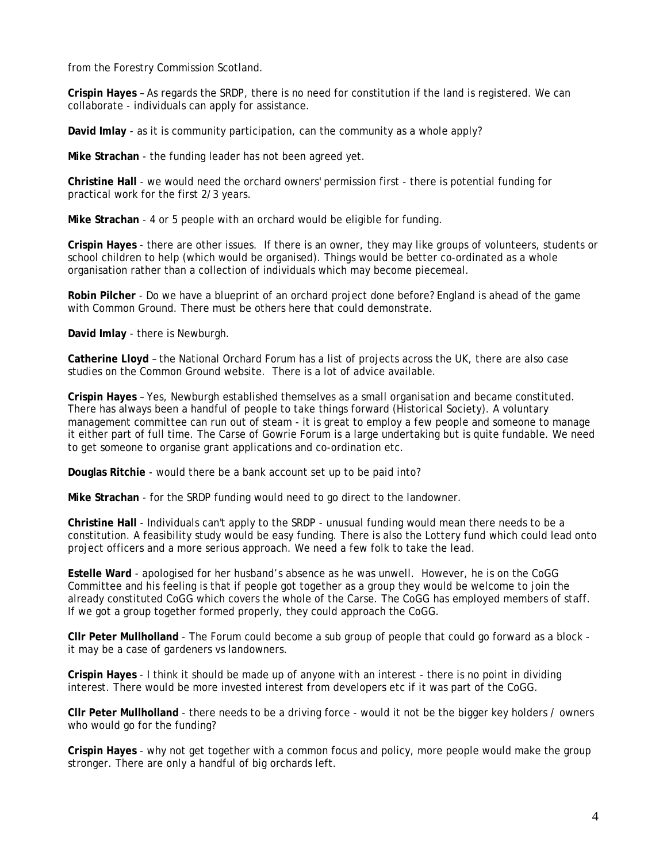from the Forestry Commission Scotland.

**Crispin Hayes** – As regards the SRDP, there is no need for constitution if the land is registered. We can collaborate - individuals can apply for assistance.

**David Imlay** - as it is community participation, can the community as a whole apply?

**Mike Strachan** - the funding leader has not been agreed yet.

**Christine Hall** - we would need the orchard owners' permission first - there is potential funding for practical work for the first 2/3 years.

**Mike Strachan** - 4 or 5 people with an orchard would be eligible for funding.

**Crispin Hayes** - there are other issues. If there is an owner, they may like groups of volunteers, students or school children to help (which would be organised). Things would be better co-ordinated as a whole organisation rather than a collection of individuals which may become piecemeal.

**Robin Pilcher** - Do we have a blueprint of an orchard project done before? England is ahead of the game with Common Ground. There must be others here that could demonstrate.

**David Imlay** - there is Newburgh.

**Catherine Lloyd** – the National Orchard Forum has a list of projects across the UK, there are also case studies on the Common Ground website. There is a lot of advice available.

**Crispin Hayes** – Yes, Newburgh established themselves as a small organisation and became constituted. There has always been a handful of people to take things forward (Historical Society). A voluntary management committee can run out of steam - it is great to employ a few people and someone to manage it either part of full time. The Carse of Gowrie Forum is a large undertaking but is quite fundable. We need to get someone to organise grant applications and co-ordination etc.

**Douglas Ritchie** - would there be a bank account set up to be paid into?

**Mike Strachan** - for the SRDP funding would need to go direct to the landowner.

**Christine Hall** - Individuals can't apply to the SRDP - unusual funding would mean there needs to be a constitution. A feasibility study would be easy funding. There is also the Lottery fund which could lead onto project officers and a more serious approach. We need a few folk to take the lead.

**Estelle Ward** - apologised for her husband's absence as he was unwell. However, he is on the CoGG Committee and his feeling is that if people got together as a group they would be welcome to join the already constituted CoGG which covers the whole of the Carse. The CoGG has employed members of staff. If we got a group together formed properly, they could approach the CoGG.

**Cllr Peter Mullholland** - The Forum could become a sub group of people that could go forward as a block it may be a case of gardeners vs landowners.

**Crispin Hayes** - I think it should be made up of anyone with an interest - there is no point in dividing interest. There would be more invested interest from developers etc if it was part of the CoGG.

**Cllr Peter Mullholland** - there needs to be a driving force - would it not be the bigger key holders / owners who would go for the funding?

**Crispin Hayes** - why not get together with a common focus and policy, more people would make the group stronger. There are only a handful of big orchards left.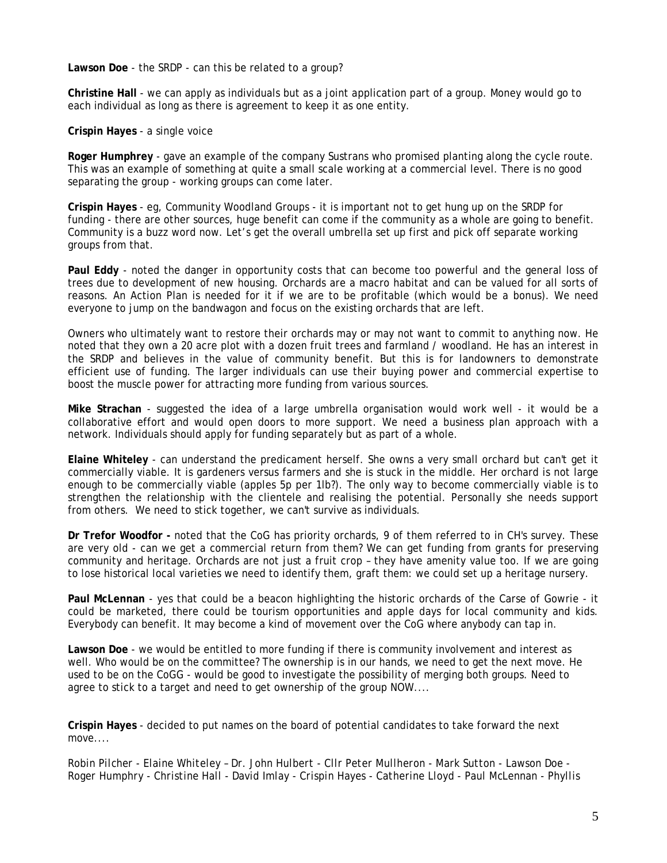**Lawson Doe** - the SRDP - can this be related to a group?

**Christine Hall** - we can apply as individuals but as a joint application part of a group. Money would go to each individual as long as there is agreement to keep it as one entity.

**Crispin Hayes** - a single voice

**Roger Humphrey** - gave an example of the company Sustrans who promised planting along the cycle route. This was an example of something at quite a small scale working at a commercial level. There is no good separating the group - working groups can come later.

**Crispin Hayes** - eg, Community Woodland Groups - it is important not to get hung up on the SRDP for funding - there are other sources, huge benefit can come if the community as a whole are going to benefit. Community is a buzz word now. Let's get the overall umbrella set up first and pick off separate working groups from that.

**Paul Eddy** - noted the danger in opportunity costs that can become too powerful and the general loss of trees due to development of new housing. Orchards are a macro habitat and can be valued for all sorts of reasons. An Action Plan is needed for it if we are to be profitable (which would be a bonus). We need everyone to jump on the bandwagon and focus on the existing orchards that are left.

Owners who ultimately want to restore their orchards may or may not want to commit to anything now. He noted that they own a 20 acre plot with a dozen fruit trees and farmland / woodland. He has an interest in the SRDP and believes in the value of community benefit. But this is for landowners to demonstrate efficient use of funding. The larger individuals can use their buying power and commercial expertise to boost the muscle power for attracting more funding from various sources.

**Mike Strachan** - suggested the idea of a large umbrella organisation would work well - it would be a collaborative effort and would open doors to more support. We need a business plan approach with a network. Individuals should apply for funding separately but as part of a whole.

**Elaine Whiteley** - can understand the predicament herself. She owns a very small orchard but can't get it commercially viable. It is gardeners versus farmers and she is stuck in the middle. Her orchard is not large enough to be commercially viable (apples 5p per 1lb?). The only way to become commercially viable is to strengthen the relationship with the clientele and realising the potential. Personally she needs support from others. We need to stick together, we can't survive as individuals.

**Dr Trefor Woodfor -** noted that the CoG has priority orchards, 9 of them referred to in CH's survey. These are very old - can we get a commercial return from them? We can get funding from grants for preserving community and heritage. Orchards are not just a fruit crop – they have amenity value too. If we are going to lose historical local varieties we need to identify them, graft them: we could set up a heritage nursery.

**Paul McLennan** - yes that could be a beacon highlighting the historic orchards of the Carse of Gowrie - it could be marketed, there could be tourism opportunities and apple days for local community and kids. Everybody can benefit. It may become a kind of movement over the CoG where anybody can tap in.

**Lawson Doe** - we would be entitled to more funding if there is community involvement and interest as well. Who would be on the committee? The ownership is in our hands, we need to get the next move. He used to be on the CoGG - would be good to investigate the possibility of merging both groups. Need to agree to stick to a target and need to get ownership of the group NOW....

**Crispin Hayes** - decided to put names on the board of potential candidates to take forward the next move....

*Robin Pilcher - Elaine Whiteley – Dr. John Hulbert - Cllr Peter Mullheron - Mark Sutton - Lawson Doe - Roger Humphry - Christine Hall - David Imlay - Crispin Hayes - Catherine Lloyd - Paul McLennan - Phyllis*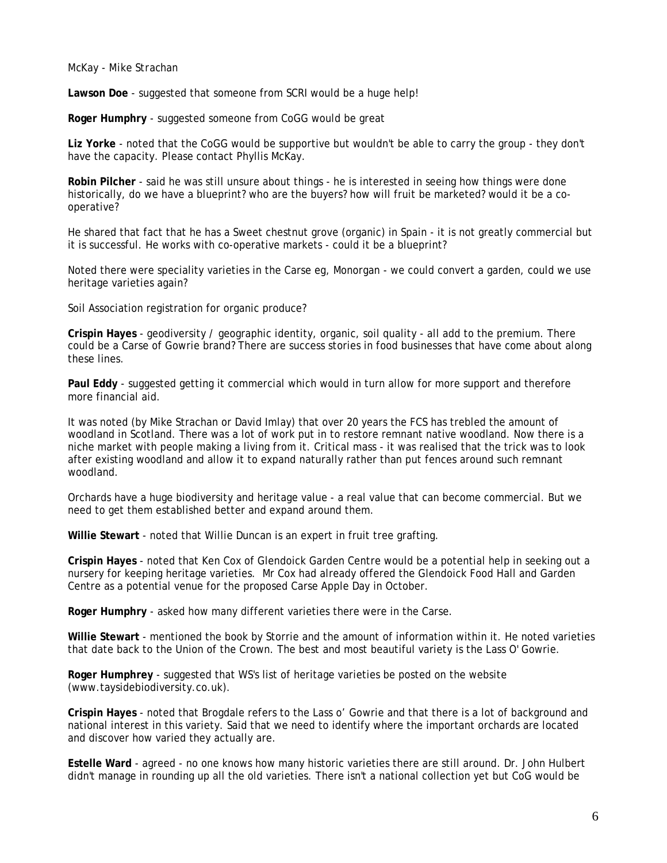#### *McKay - Mike Strachan*

**Lawson Doe** - suggested that someone from SCRI would be a huge help!

**Roger Humphry** - suggested someone from CoGG would be great

**Liz Yorke** - noted that the CoGG would be supportive but wouldn't be able to carry the group - they don't have the capacity. Please contact Phyllis McKay.

**Robin Pilcher** - said he was still unsure about things - he is interested in seeing how things were done historically, do we have a blueprint? who are the buyers? how will fruit be marketed? would it be a cooperative?

He shared that fact that he has a Sweet chestnut grove (organic) in Spain - it is not greatly commercial but it is successful. He works with co-operative markets - could it be a blueprint?

Noted there were speciality varieties in the Carse eg, Monorgan - we could convert a garden, could we use heritage varieties again?

Soil Association registration for organic produce?

**Crispin Hayes** - geodiversity / geographic identity, organic, soil quality - all add to the premium. There could be a Carse of Gowrie brand? There are success stories in food businesses that have come about along these lines.

**Paul Eddy** - suggested getting it commercial which would in turn allow for more support and therefore more financial aid.

It was noted (by Mike Strachan or David Imlay) that over 20 years the FCS has trebled the amount of woodland in Scotland. There was a lot of work put in to restore remnant native woodland. Now there is a niche market with people making a living from it. Critical mass - it was realised that the trick was to look after existing woodland and allow it to expand naturally rather than put fences around such remnant woodland.

Orchards have a huge biodiversity and heritage value - a real value that can become commercial. But we need to get them established better and expand around them.

**Willie Stewart** - noted that Willie Duncan is an expert in fruit tree grafting.

**Crispin Hayes** - noted that Ken Cox of Glendoick Garden Centre would be a potential help in seeking out a nursery for keeping heritage varieties. Mr Cox had already offered the Glendoick Food Hall and Garden Centre as a potential venue for the proposed Carse Apple Day in October.

**Roger Humphry** - asked how many different varieties there were in the Carse.

**Willie Stewart** - mentioned the book by Storrie and the amount of information within it. He noted varieties that date back to the Union of the Crown. The best and most beautiful variety is the Lass O' Gowrie.

**Roger Humphrey** - suggested that WS's list of heritage varieties be posted on the website (www.taysidebiodiversity.co.uk).

**Crispin Hayes** - noted that Brogdale refers to the Lass o' Gowrie and that there is a lot of background and national interest in this variety. Said that we need to identify where the important orchards are located and discover how varied they actually are.

**Estelle Ward** - agreed - no one knows how many historic varieties there are still around. Dr. John Hulbert didn't manage in rounding up all the old varieties. There isn't a national collection yet but CoG would be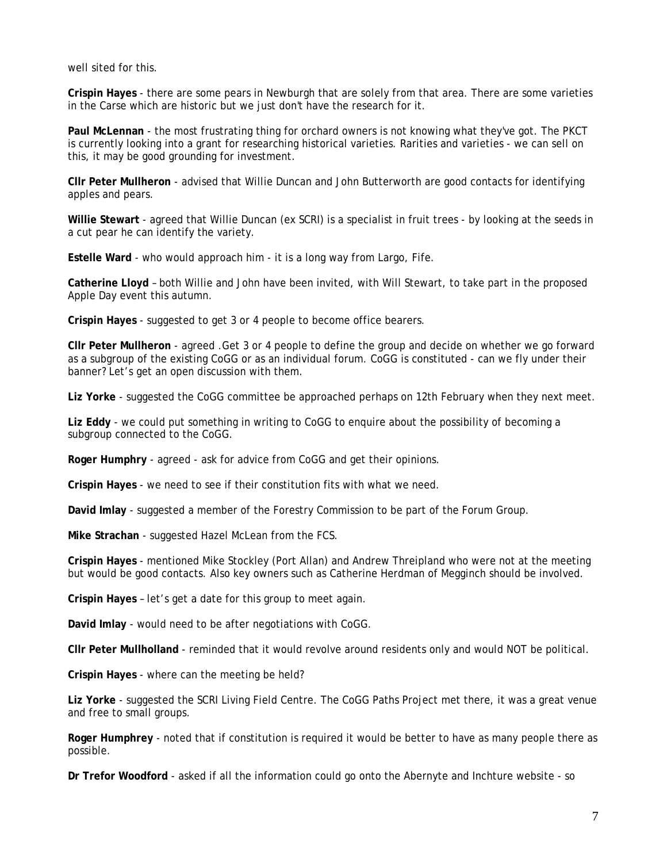well sited for this.

**Crispin Hayes** - there are some pears in Newburgh that are solely from that area. There are some varieties in the Carse which are historic but we just don't have the research for it.

**Paul McLennan** - the most frustrating thing for orchard owners is not knowing what they've got. The PKCT is currently looking into a grant for researching historical varieties. Rarities and varieties - we can sell on this, it may be good grounding for investment.

**Cllr Peter Mullheron** - advised that Willie Duncan and John Butterworth are good contacts for identifying apples and pears.

**Willie Stewart** - agreed that Willie Duncan (ex SCRI) is a specialist in fruit trees - by looking at the seeds in a cut pear he can identify the variety.

**Estelle Ward** - who would approach him - it is a long way from Largo, Fife.

**Catherine Lloyd** – both Willie and John have been invited, with Will Stewart, to take part in the proposed Apple Day event this autumn.

**Crispin Hayes** - suggested to get 3 or 4 people to become office bearers.

**Cllr Peter Mullheron** - agreed .Get 3 or 4 people to define the group and decide on whether we go forward as a subgroup of the existing CoGG or as an individual forum. CoGG is constituted - can we fly under their banner? Let's get an open discussion with them.

**Liz Yorke** - suggested the CoGG committee be approached perhaps on 12th February when they next meet.

**Liz Eddy** - we could put something in writing to CoGG to enquire about the possibility of becoming a subgroup connected to the CoGG.

**Roger Humphry** - agreed - ask for advice from CoGG and get their opinions.

**Crispin Hayes** - we need to see if their constitution fits with what we need.

**David Imlay** - suggested a member of the Forestry Commission to be part of the Forum Group.

**Mike Strachan** - suggested Hazel McLean from the FCS.

**Crispin Hayes** - mentioned Mike Stockley (Port Allan) and Andrew Threipland who were not at the meeting but would be good contacts. Also key owners such as Catherine Herdman of Megginch should be involved.

**Crispin Hayes** – let's get a date for this group to meet again.

**David Imlay** - would need to be after negotiations with CoGG.

**Cllr Peter Mullholland** - reminded that it would revolve around residents only and would NOT be political.

**Crispin Hayes** - where can the meeting be held?

**Liz Yorke** - suggested the SCRI Living Field Centre. The CoGG Paths Project met there, it was a great venue and free to small groups.

**Roger Humphrey** - noted that if constitution is required it would be better to have as many people there as possible.

**Dr Trefor Woodford** - asked if all the information could go onto the Abernyte and Inchture website - so